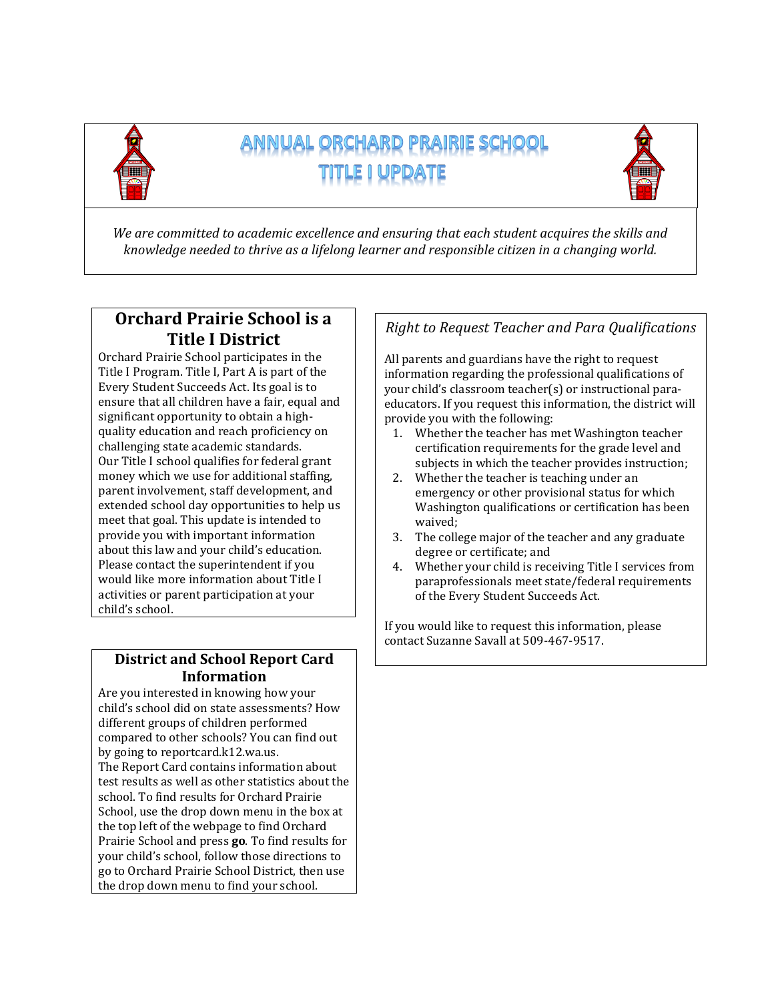

# ANNUAL ORCHARD PRAIRIE SCHOOL



*We are committed to academic excellence and ensuring that each student acquires the skills and knowledge needed to thrive as a lifelong learner and responsible citizen in a changing world.*

### **Orchard Prairie School is a Title I District**

Orchard Prairie School participates in the Title I Program. Title I, Part A is part of the Every Student Succeeds Act. Its goal is to ensure that all children have a fair, equal and significant opportunity to obtain a highquality education and reach proficiency on challenging state academic standards. Our Title I school qualifies for federal grant money which we use for additional staffing, parent involvement, staff development, and extended school day opportunities to help us meet that goal. This update is intended to provide you with important information about this law and your child's education. Please contact the superintendent if you would like more information about Title I activities or parent participation at your child's school.

### **District and School Report Card Information**

Are you interested in knowing how your child's school did on state assessments? How different groups of children performed compared to other schools? You can find out by going to reportcard.k12.wa.us. The Report Card contains information about test results as well as other statistics about the school. To find results for Orchard Prairie School, use the drop down menu in the box at the top left of the webpage to find Orchard Prairie School and press **go**. To find results for your child's school, follow those directions to go to Orchard Prairie School District, then use the drop down menu to find your school.

### *Right to Request Teacher and Para Qualifications*

All parents and guardians have the right to request information regarding the professional qualifications of your child's classroom teacher(s) or instructional paraeducators. If you request this information, the district will provide you with the following:

- 1. Whether the teacher has met Washington teacher certification requirements for the grade level and subjects in which the teacher provides instruction;
- 2. Whether the teacher is teaching under an emergency or other provisional status for which Washington qualifications or certification has been waived;
- 3. The college major of the teacher and any graduate degree or certificate; and
- 4. Whether your child is receiving Title I services from paraprofessionals meet state/federal requirements of the Every Student Succeeds Act.

If you would like to request this information, please contact Suzanne Savall at 509-467-9517.